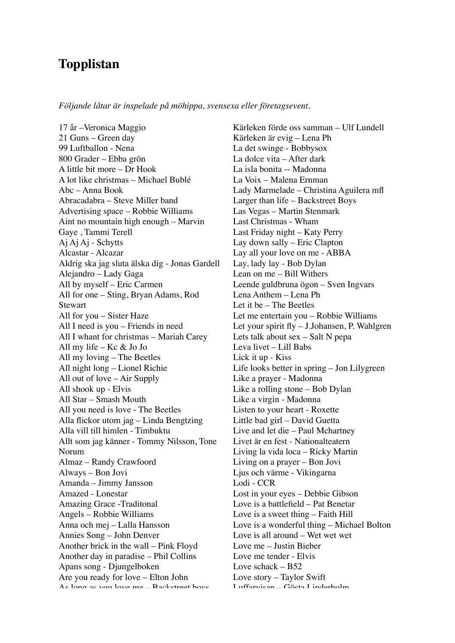## **Topplistan**

*Följande låtar är inspelade på möhippa, svensexa eller företagsevent.*

17 år –Veronica Maggio 21 Guns – Green day 99 Luftballon - Nena 800 Grader – Ebba grön A little bit more – Dr Hook A lot like christmas – Michael Bublé Abc – Anna Book Abracadabra – Steve Miller band Advertising space – Robbie Williams Aint no mountain high enough – Marvin Gaye , Tammi Terell Aj Aj Aj - Schytts Alcastar - Alcazar Aldrig ska jag sluta älska dig - Jonas Gardell Alejandro – Lady Gaga All by myself – Eric Carmen All for one – Sting, Bryan Adams, Rod **Stewart** All for you – Sister Haze All I need is you – Friends in need All I whant for christmas – Mariah Carey All my life – Kc & Jo Jo All my loving – The Beetles All night long – Lionel Richie All out of love – Air Supply All shook up - Elvis All Star – Smash Mouth All you need is love - The Beetles Alla flickor utom jag – Linda Bengtzing Alla vill till himlen - Timbuktu Allt som jag känner - Tommy Nilsson, Tone Norum Almaz – Randy Crawfoord Always – Bon Jovi Amanda – Jimmy Jansson Amazed - Lonestar Amazing Grace -Traditonal Angels – Robbie Williams Anna och mej – Lalla Hansson Annies Song – John Denver Another brick in the wall – Pink Floyd Another day in paradise – Phil Collins Apans song - Djungelboken Are you ready for love – Elton John As long as you love me – Backstreet boys

Kärleken förde oss samman – Ulf Lundell Kärleken är evig – Lena Ph La det swinge - Bobbysox La dolce vita – After dark La isla bonita -- Madonna La Voix – Malena Ernman Lady Marmelade – Christina Aguilera mfl Larger than life – Backstreet Boys Las Vegas – Martin Stenmark Last Christmas - Wham Last Friday night – Katy Perry Lay down sally – Eric Clapton Lay all your love on me - ABBA Lay, lady lay - Bob Dylan Lean on me – Bill Withers Leende guldbruna ögon – Sven Ingvars Lena Anthem – Lena Ph Let it be – The Beetles Let me entertain you – Robbie Williams Let your spirit fly – J.Johansen, P. Wahlgren Lets talk about sex – Salt N pepa Leva livet – Lill Babs Lick it up - Kiss Life looks better in spring – Jon Lilygreen Like a prayer - Madonna Like a rolling stone – Bob Dylan Like a virgin - Madonna Listen to your heart - Roxette Little bad girl – David Guetta Live and let die – Paul Mchartney Livet är en fest - Nationalteatern Living la vida loca – Ricky Martin Living on a prayer – Bon Jovi Ljus och värme - Vikingarna Lodi - CCR Lost in your eyes – Debbie Gibson Love is a battlefield – Pat Benetar Love is a sweet thing – Faith Hill Love is a wonderful thing – Michael Bolton Love is all around – Wet wet wet Love me – Justin Bieber Love me tender - Elvis Love schack – B52 Love story – Taylor Swift Luffarvisan – Gösta Linderholm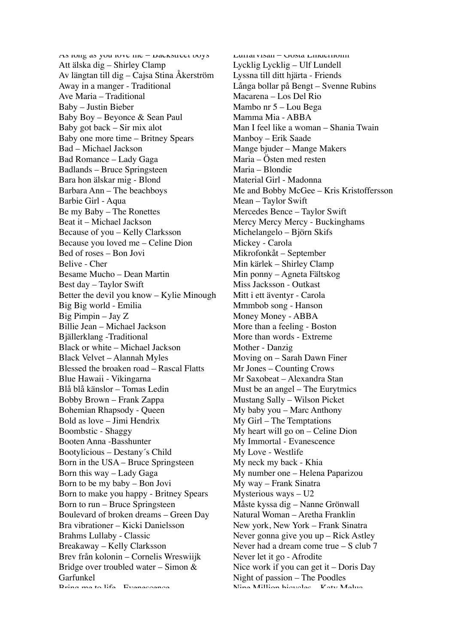As long as you love me - Dackstreet boys Att älska dig – Shirley Clamp Av längtan till dig – Cajsa Stina Åkerström Away in a manger - Traditional Ave Maria – Traditional Baby – Justin Bieber Baby Boy – Beyonce & Sean Paul Baby got back – Sir mix alot Baby one more time – Britney Spears Bad – Michael Jackson Bad Romance – Lady Gaga Badlands – Bruce Springsteen Bara hon älskar mig - Blond Barbara Ann – The beachboys Barbie Girl - Aqua Be my Baby – The Ronettes Beat it – Michael Jackson Because of you – Kelly Clarksson Because you loved me – Celine Dion Bed of roses – Bon Jovi Belive - Cher Besame Mucho – Dean Martin Best day – Taylor Swift Better the devil you know – Kylie Minough Big Big world - Emilia Big Pimpin – Jay Z Billie Jean – Michael Jackson Bjällerklang -Traditional Black or white – Michael Jackson Black Velvet – Alannah Myles Blessed the broaken road – Rascal Flatts Blue Hawaii - Vikingarna Blå blå känslor – Tomas Ledin Bobby Brown – Frank Zappa Bohemian Rhapsody - Queen Bold as love – Jimi Hendrix Boombstic - Shaggy Booten Anna -Basshunter Bootylicious – Destany´s Child Born in the USA – Bruce Springsteen Born this way – Lady Gaga Born to be my baby – Bon Jovi Born to make you happy - Britney Spears Born to run – Bruce Springsteen Boulevard of broken dreams – Green Day Bra vibrationer – Kicki Danielsson Brahms Lullaby - Classic Breakaway – Kelly Clarksson Brev från kolonin – Cornelis Wreswiijk Bridge over troubled water – Simon & Garfunkel Dring me to life - Evenescence

Luffarvisan – Gösta Linderholm Lycklig Lycklig – Ulf Lundell Lyssna till ditt hjärta - Friends Långa bollar på Bengt – Svenne Rubins Macarena – Los Del Rio Mambo nr 5 – Lou Bega Mamma Mia - ABBA Man I feel like a woman – Shania Twain Manboy – Erik Saade Mange bjuder – Mange Makers Maria – Östen med resten Maria – Blondie Material Girl - Madonna Me and Bobby McGee – Kris Kristoffersson Mean – Taylor Swift Mercedes Bence – Taylor Swift Mercy Mercy Mercy - Buckinghams Michelangelo – Björn Skifs Mickey - Carola Mikrofonkåt – September Min kärlek – Shirley Clamp Min ponny – Agneta Fältskog Miss Jacksson - Outkast Mitt i ett äventyr - Carola Mmmbob song - Hanson Money Money - ABBA More than a feeling - Boston More than words - Extreme Mother - Danzig Moving on – Sarah Dawn Finer Mr Jones – Counting Crows Mr Saxobeat – Alexandra Stan Must be an angel – The Eurytmics Mustang Sally – Wilson Picket My baby you – Marc Anthony My Girl – The Temptations My heart will go on – Celine Dion My Immortal - Evanescence My Love - Westlife My neck my back - Khia My number one – Helena Paparizou My way – Frank Sinatra Mysterious ways – U2 Måste kyssa dig – Nanne Grönwall Natural Woman – Aretha Franklin New york, New York – Frank Sinatra Never gonna give you up – Rick Astley Never had a dream come true – S club 7 Never let it go - Afrodite Nice work if you can get it – Doris Day Night of passion – The Poodles Nine Million bicycles – Katy Melua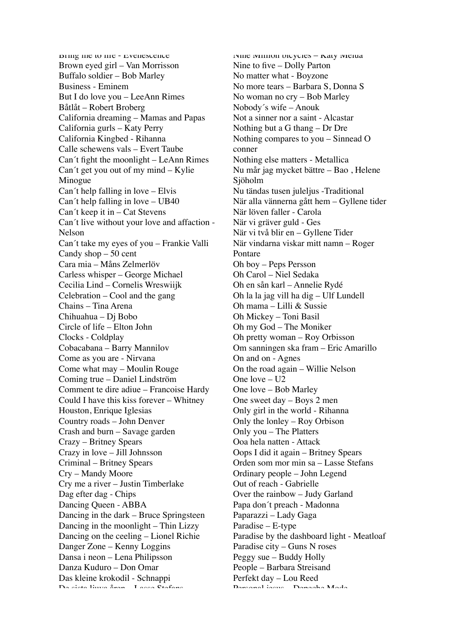Bring me to life - Evenescence Brown eyed girl – Van Morrisson Buffalo soldier – Bob Marley Business - Eminem But I do love you – LeeAnn Rimes Båtlåt – Robert Broberg California dreaming – Mamas and Papas California gurls – Katy Perry California Kingbed - Rihanna Calle schewens vals – Evert Taube Can´t fight the moonlight – LeAnn Rimes Can´t get you out of my mind – Kylie Minogue Can´t help falling in love – Elvis Can´t help falling in love – UB40 Can´t keep it in – Cat Stevens Can´t live without your love and affaction - Nelson Can´t take my eyes of you – Frankie Valli Candy shop – 50 cent Cara mia – Måns Zelmerlöv Carless whisper – George Michael Cecilia Lind – Cornelis Wreswiijk Celebration – Cool and the gang Chains – Tina Arena Chihuahua – Dj Bobo Circle of life – Elton John Clocks - Coldplay Cobacabana – Barry Mannilov Come as you are - Nirvana Come what may – Moulin Rouge Coming true – Daniel Lindström Comment te dire adiue – Francoise Hardy Could I have this kiss forever – Whitney Houston, Enrique Iglesias Country roads – John Denver Crash and burn – Savage garden Crazy – Britney Spears Crazy in love – Jill Johnsson Criminal – Britney Spears Cry – Mandy Moore Cry me a river – Justin Timberlake Dag efter dag - Chips Dancing Queen - ABBA Dancing in the dark – Bruce Springsteen Dancing in the moonlight – Thin Lizzy Dancing on the ceeling – Lionel Richie Danger Zone – Kenny Loggins Dansa i neon – Lena Philipsson Danza Kuduro – Don Omar Das kleine krokodil - Schnappi De sista ljuva åren – Lasse Stefans

Nine Million bicycles – Katy Melua Nine to five – Dolly Parton No matter what - Boyzone No more tears – Barbara S, Donna S No woman no cry – Bob Marley Nobody´s wife – Anouk Not a sinner nor a saint - Alcastar Nothing but a G thang – Dr Dre Nothing compares to you – Sinnead O conner Nothing else matters - Metallica Nu mår jag mycket bättre – Bao , Helene Sjöholm Nu tändas tusen juleljus -Traditional När alla vännerna gått hem – Gyllene tider När löven faller - Carola När vi gräver guld - Ges När vi två blir en – Gyllene Tider När vindarna viskar mitt namn – Roger Pontare Oh boy – Peps Persson Oh Carol – Niel Sedaka Oh en sån karl – Annelie Rydé Oh la la jag vill ha dig – Ulf Lundell Oh mama – Lilli & Sussie Oh Mickey – Toni Basil Oh my God – The Moniker Oh pretty woman – Roy Orbisson Om sanningen ska fram – Eric Amarillo On and on - Agnes On the road again – Willie Nelson One  $love - U2$ One love – Bob Marley One sweet day – Boys 2 men Only girl in the world - Rihanna Only the lonley – Roy Orbison Only you – The Platters Ooa hela natten - Attack Oops I did it again – Britney Spears Orden som mor min sa – Lasse Stefans Ordinary people – John Legend Out of reach - Gabrielle Over the rainbow – Judy Garland Papa don´t preach - Madonna Paparazzi – Lady Gaga Paradise – E-type Paradise by the dashboard light - Meatloaf Paradise city – Guns N roses Peggy sue – Buddy Holly People – Barbara Streisand Perfekt day – Lou Reed Personal jesus – Depeche Mode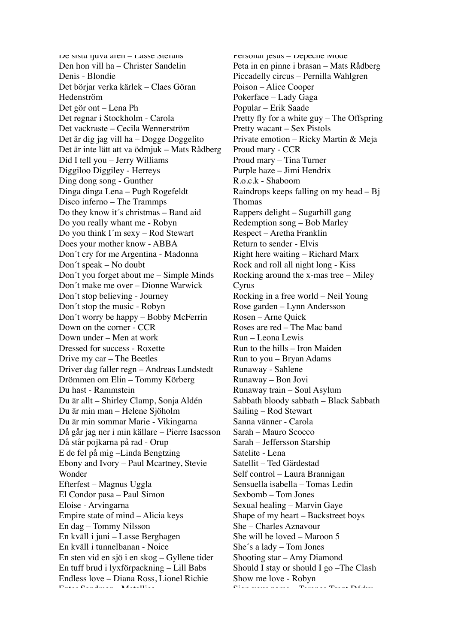De sista ljuva åren – Lasse Stefans Den hon vill ha – Christer Sandelin Denis - Blondie Det börjar verka kärlek – Claes Göran Hedenström Det gör ont – Lena Ph Det regnar i Stockholm - Carola Det vackraste – Cecila Wennerström Det är dig jag vill ha – Dogge Doggelito Det är inte lätt att va ödmjuk – Mats Rådberg Did I tell you – Jerry Williams Diggiloo Diggiley - Herreys Ding dong song - Gunther Dinga dinga Lena – Pugh Rogefeldt Disco inferno – The Trammps Do they know it´s christmas – Band aid Do you really whant me - Robyn Do you think I´m sexy – Rod Stewart Does your mother know - ABBA Don´t cry for me Argentina - Madonna Don´t speak – No doubt Don´t you forget about me – Simple Minds Don´t make me over – Dionne Warwick Don´t stop believing - Journey Don´t stop the music - Robyn Don´t worry be happy – Bobby McFerrin Down on the corner - CCR Down under – Men at work Dressed for success - Roxette Drive my car – The Beetles Driver dag faller regn – Andreas Lundstedt Drömmen om Elin – Tommy Körberg Du hast - Rammstein Du är allt – Shirley Clamp, Sonja Aldén Du är min man – Helene Sjöholm Du är min sommar Marie - Vikingarna Då går jag ner i min källare – Pierre Isacsson Då står pojkarna på rad - Orup E de fel på mig –Linda Bengtzing Ebony and Ivory – Paul Mcartney, Stevie Wonder Efterfest – Magnus Uggla El Condor pasa – Paul Simon Eloise - Arvingarna Empire state of mind – Alicia keys En dag – Tommy Nilsson En kväll i juni – Lasse Berghagen En kväll i tunnelbanan - Noice En sten vid en sjö i en skog – Gyllene tider En tuff brud i lyxförpackning – Lill Babs Endless love – Diana Ross, Lionel Richie Enter Sandman - Metallica

Personal jesus – Depeche Mode Peta in en pinne i brasan – Mats Rådberg Piccadelly circus – Pernilla Wahlgren Poison – Alice Cooper Pokerface – Lady Gaga Popular – Erik Saade Pretty fly for a white guy – The Offspring Pretty wacant – Sex Pistols Private emotion – Ricky Martin & Meja Proud mary - CCR Proud mary – Tina Turner Purple haze – Jimi Hendrix R.o.c.k - Shaboom Raindrops keeps falling on my head – Bj Thomas Rappers delight – Sugarhill gang Redemption song – Bob Marley Respect – Aretha Franklin Return to sender - Elvis Right here waiting – Richard Marx Rock and roll all night long - Kiss Rocking around the x-mas tree – Miley Cyrus Rocking in a free world – Neil Young Rose garden – Lynn Andersson Rosen – Arne Quick Roses are red – The Mac band Run – Leona Lewis Run to the hills – Iron Maiden Run to you – Bryan Adams Runaway - Sahlene Runaway – Bon Jovi Runaway train – Soul Asylum Sabbath bloody sabbath – Black Sabbath Sailing – Rod Stewart Sanna vänner - Carola Sarah – Mauro Scocco Sarah – Jeffersson Starship Satelite - Lena Satellit – Ted Gärdestad Self control – Laura Brannigan Sensuella isabella – Tomas Ledin Sexbomb – Tom Jones Sexual healing – Marvin Gaye Shape of my heart – Backstreet boys She – Charles Aznavour She will be loved – Maroon 5 She´s a lady – Tom Jones Shooting star – Amy Diamond Should I stay or should I go –The Clash Show me love - Robyn  $S_{\text{max}}$  your name –  $T_{\text{max}}$   $T_{\text{max}}$   $D$ árby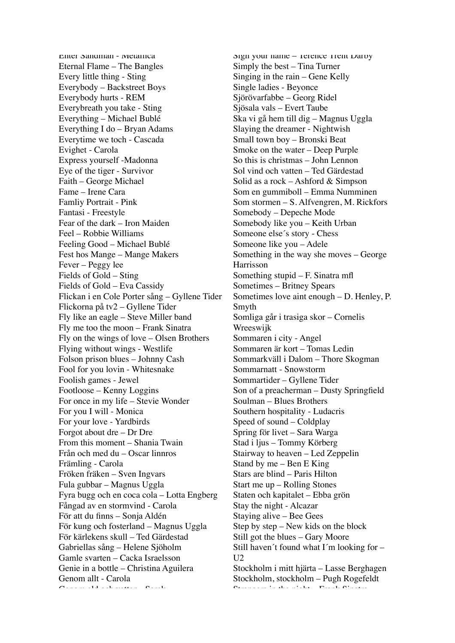Enter Sandman - Metallica Eternal Flame – The Bangles Every little thing - Sting Everybody – Backstreet Boys Everybody hurts - REM Everybreath you take - Sting Everything – Michael Bublé Everything I do – Bryan Adams Everytime we toch - Cascada Evighet - Carola Express yourself -Madonna Eye of the tiger - Survivor Faith – George Michael Fame – Irene Cara Famliy Portrait - Pink Fantasi - Freestyle Fear of the dark – Iron Maiden Feel – Robbie Williams Feeling Good – Michael Bublé Fest hos Mange – Mange Makers Fever – Peggy lee Fields of Gold – Sting Fields of Gold – Eva Cassidy Flickan i en Cole Porter sång – Gyllene Tider Flickorna på tv2 – Gyllene Tider Fly like an eagle – Steve Miller band Fly me too the moon – Frank Sinatra Fly on the wings of love – Olsen Brothers Flying without wings - Westlife Folson prison blues – Johnny Cash Fool for you lovin - Whitesnake Foolish games - Jewel Footloose – Kenny Loggins For once in my life – Stevie Wonder For you I will - Monica For your love - Yardbirds Forgot about dre – Dr Dre From this moment – Shania Twain Från och med du – Oscar linnros Främling - Carola Fröken fräken – Sven Ingvars Fula gubbar – Magnus Uggla Fyra bugg och en coca cola – Lotta Engberg Fångad av en stormvind - Carola För att du finns – Sonja Aldén För kung och fosterland – Magnus Uggla För kärlekens skull – Ted Gärdestad Gabriellas sång – Helene Sjöholm Gamle svarten – Cacka Israelsson Genie in a bottle – Christina Aguilera Genom allt - Carola  $G(x) = \frac{1}{2}$  eld och vatten  $\alpha$ 

Sign your name - rerence rrent Darby Simply the best – Tina Turner Singing in the rain – Gene Kelly Single ladies - Beyonce Sjörövarfabbe – Georg Ridel Sjösala vals – Evert Taube Ska vi gå hem till dig – Magnus Uggla Slaying the dreamer - Nightwish Small town boy – Bronski Beat Smoke on the water – Deep Purple So this is christmas – John Lennon Sol vind och vatten – Ted Gärdestad Solid as a rock – Ashford & Simpson Som en gummiboll – Emma Numminen Som stormen – S. Alfvengren, M. Rickfors Somebody – Depeche Mode Somebody like you – Keith Urban Someone else´s story - Chess Someone like you – Adele Something in the way she moves – George Harrisson Something stupid – F. Sinatra mfl Sometimes – Britney Spears Sometimes love aint enough – D. Henley, P. Smyth Somliga går i trasiga skor – Cornelis Wreeswijk Sommaren i city - Angel Sommaren är kort – Tomas Ledin Sommarkväll i Dalom – Thore Skogman Sommarnatt - Snowstorm Sommartider – Gyllene Tider Son of a preacherman – Dusty Springfield Soulman – Blues Brothers Southern hospitality - Ludacris Speed of sound – Coldplay Spring för livet – Sara Warga Stad i ljus – Tommy Körberg Stairway to heaven – Led Zeppelin Stand by me – Ben E King Stars are blind – Paris Hilton Start me up – Rolling Stones Staten och kapitalet – Ebba grön Stay the night - Alcazar Staying alive – Bee Gees Step by step – New kids on the block Still got the blues – Gary Moore Still haven´t found what I´m looking for –  $112$ Stockholm i mitt hjärta – Lasse Berghagen Stockholm, stockholm – Pugh Rogefeldt  $S$  strangers in the night  $\overline{P}$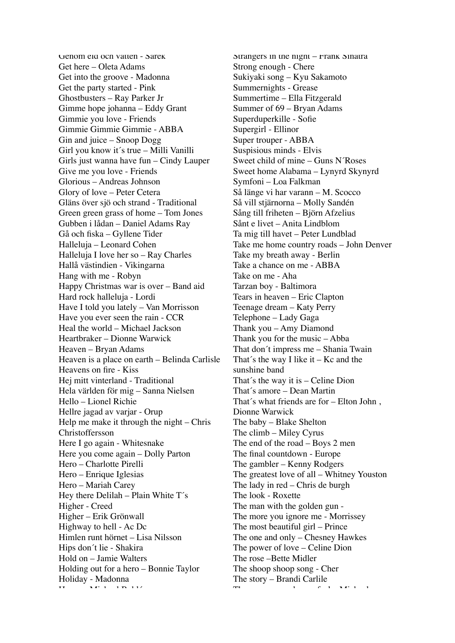Genom eld och vatten - Sarek Get here – Oleta Adams Get into the groove - Madonna Get the party started - Pink Ghostbusters – Ray Parker Jr Gimme hope johanna – Eddy Grant Gimmie you love - Friends Gimmie Gimmie Gimmie - ABBA Gin and juice – Snoop Dogg Girl you know it´s true – Milli Vanilli Girls just wanna have fun – Cindy Lauper Give me you love - Friends Glorious – Andreas Johnson Glory of love – Peter Cetera Gläns över sjö och strand - Traditional Green green grass of home – Tom Jones Gubben i lådan – Daniel Adams Ray Gå och fiska – Gyllene Tider Halleluja – Leonard Cohen Halleluja I love her so – Ray Charles Hallå västindien - Vikingarna Hang with me - Robyn Happy Christmas war is over – Band aid Hard rock halleluja - Lordi Have I told you lately – Van Morrisson Have you ever seen the rain - CCR Heal the world – Michael Jackson Heartbraker – Dionne Warwick Heaven – Bryan Adams Heaven is a place on earth – Belinda Carlisle Heavens on fire - Kiss Hej mitt vinterland - Traditional Hela världen för mig – Sanna Nielsen Hello – Lionel Richie Hellre jagad av varjar - Orup Help me make it through the night – Chris Christoffersson Here I go again - Whitesnake Here you come again – Dolly Parton Hero – Charlotte Pirelli Hero – Enrique Iglesias Hero – Mariah Carey Hey there Delilah – Plain White  $T$ 's Higher - Creed Higher – Erik Grönwall Highway to hell - Ac Dc Himlen runt hörnet – Lisa Nilsson Hips don´t lie - Shakira Hold on – Jamie Walters Holding out for a hero – Bonnie Taylor Holiday - Madonna  $H \rightarrow H$ 

Strangers in the night – Frank Sinatra Strong enough - Chere Sukiyaki song – Kyu Sakamoto Summernights - Grease Summertime – Ella Fitzgerald Summer of 69 – Bryan Adams Superduperkille - Sofie Supergirl - Ellinor Super trouper - ABBA Suspisious minds - Elvis Sweet child of mine – Guns N´Roses Sweet home Alabama – Lynyrd Skynyrd Symfoni – Loa Falkman Så länge vi har varann – M. Scocco Så vill stjärnorna – Molly Sandén Sång till friheten – Björn Afzelius Sånt e livet – Anita Lindblom Ta mig till havet – Peter Lundblad Take me home country roads – John Denver Take my breath away - Berlin Take a chance on me - ABBA Take on me - Aha Tarzan boy - Baltimora Tears in heaven – Eric Clapton Teenage dream – Katy Perry Telephone – Lady Gaga Thank you – Amy Diamond Thank you for the music – Abba That don´t impress me – Shania Twain That's the way I like it  $-$  Kc and the sunshine band That´s the way it is – Celine Dion That´s amore – Dean Martin That´s what friends are for – Elton John , Dionne Warwick The baby – Blake Shelton The climb – Miley Cyrus The end of the road – Boys 2 men The final countdown - Europe The gambler – Kenny Rodgers The greatest love of all – Whitney Youston The lady in red – Chris de burgh The look - Roxette The man with the golden gun - The more you ignore me - Morrissey The most beautiful girl – Prince The one and only – Chesney Hawkes The power of love – Celine Dion The rose –Bette Midler The shoop shoop song - Cher The story – Brandi Carlile The way  $\mathbf{M} = \mathbf{M}$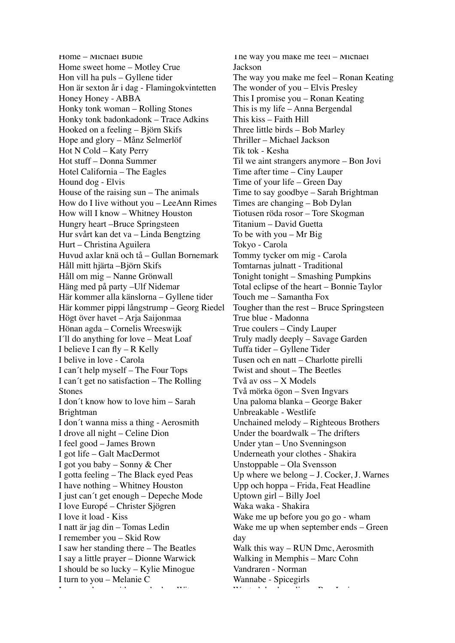Home – Michael Bublé Home sweet home – Motley Crue Hon vill ha puls – Gyllene tider Hon är sexton år i dag - Flamingokvintetten Honey Honey - ABBA Honky tonk woman – Rolling Stones Honky tonk badonkadonk – Trace Adkins Hooked on a feeling – Björn Skifs Hope and glory – Månz Selmerlöf Hot N Cold – Katy Perry Hot stuff – Donna Summer Hotel California – The Eagles Hound dog - Elvis House of the raising sun – The animals How do I live without you – LeeAnn Rimes How will I know – Whitney Houston Hungry heart –Bruce Springsteen Hur svårt kan det va – Linda Bengtzing Hurt – Christina Aguilera Huvud axlar knä och tå – Gullan Bornemark Håll mitt hjärta –Björn Skifs Håll om mig – Nanne Grönwall Häng med på party –Ulf Nidemar Här kommer alla känslorna – Gyllene tider Här kommer pippi långstrump – Georg Riedel Högt över havet – Arja Saijonmaa Hönan agda – Cornelis Wreeswijk I´ll do anything for love – Meat Loaf I believe I can fly – R Kelly I belive in love - Carola I can´t help myself – The Four Tops I can´t get no satisfaction – The Rolling Stones I don´t know how to love him – Sarah Brightman I don´t wanna miss a thing - Aerosmith I drove all night – Celine Dion I feel good – James Brown I got life – Galt MacDermot I got you baby – Sonny & Cher I gotta feeling – The Black eyed Peas I have nothing – Whitney Houston I just can´t get enough – Depeche Mode I love Europé – Christer Sjögren I love it load - Kiss I natt är jag din – Tomas Ledin I remember you – Skid Row I saw her standing there – The Beatles I say a little prayer – Dionne Warwick I should be so lucky – Kylie Minogue I turn to you – Melanie C  $\mathbf{F} = \begin{bmatrix} 1 & 0 & 0 \\ 0 & 0 & 0 \\ 0 & 0 & 0 \end{bmatrix}$  , with  $\mathbf{F} = \begin{bmatrix} 1 & 0 & 0 \\ 0 & 1 & 0 \\ 0 & 0 & 0 \end{bmatrix}$ 

The way you make me feel – Michael Jackson The way you make me feel – Ronan Keating The wonder of you – Elvis Presley This I promise you – Ronan Keating This is my life – Anna Bergendal This kiss – Faith Hill Three little birds – Bob Marley Thriller – Michael Jackson Tik tok - Kesha Til we aint strangers anymore – Bon Jovi Time after time – Ciny Lauper Time of your life – Green Day Time to say goodbye – Sarah Brightman Times are changing – Bob Dylan Tiotusen röda rosor – Tore Skogman Titanium – David Guetta To be with you – Mr Big Tokyo - Carola Tommy tycker om mig - Carola Tomtarnas julnatt - Traditional Tonight tonight – Smashing Pumpkins Total eclipse of the heart – Bonnie Taylor Touch me – Samantha Fox Tougher than the rest – Bruce Springsteen True blue - Madonna True coulers – Cindy Lauper Truly madly deeply – Savage Garden Tuffa tider – Gyllene Tider Tusen och en natt – Charlotte pirelli Twist and shout – The Beetles Två av oss – X Models Två mörka ögon – Sven Ingvars Una paloma blanka – George Baker Unbreakable - Westlife Unchained melody – Righteous Brothers Under the boardwalk – The drifters Under ytan – Uno Svenningson Underneath your clothes - Shakira Unstoppable – Ola Svensson Up where we belong – J. Cocker, J. Warnes Upp och hoppa – Frida, Feat Headline Uptown girl – Billy Joel Waka waka - Shakira Wake me up before you go go - wham Wake me up when september ends – Green day Walk this way – RUN Dmc, Aerosmith Walking in Memphis – Marc Cohn Vandraren - Norman Wannabe - Spicegirls wanted deal or alive – Bonder – Bonder – Bonder – Bonder – Bonder – Bonder – Bonder – Bonder – Bonder – Bonder<br>De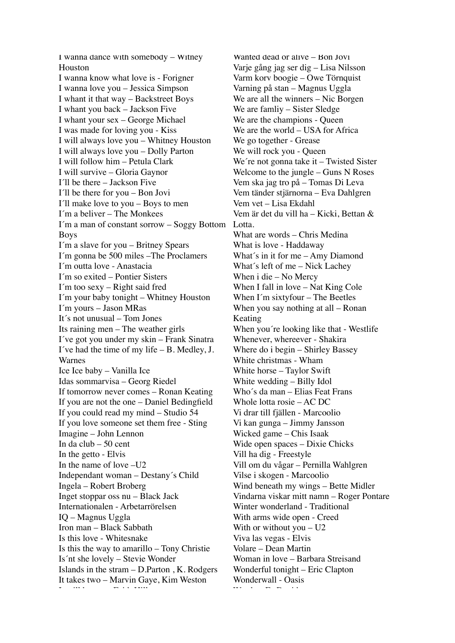I wanna dance with somebody – Witney Houston I wanna know what love is - Forigner I wanna love you – Jessica Simpson I whant it that way – Backstreet Boys I whant you back – Jackson Five I whant your sex – George Michael I was made for loving you - Kiss I will always love you – Whitney Houston I will always love you – Dolly Parton I will follow him – Petula Clark I will survive – Gloria Gaynor I´ll be there – Jackson Five I´ll be there for you – Bon Jovi I´ll make love to you – Boys to men I´m a beliver – The Monkees I´m a man of constant sorrow – Soggy Bottom Boys I´m a slave for you – Britney Spears I´m gonna be 500 miles –The Proclamers I´m outta love - Anastacia I´m so exited – Pontier Sisters I´m too sexy – Right said fred I´m your baby tonight – Whitney Houston I´m yours – Jason MRas It´s not unusual – Tom Jones Its raining men – The weather girls I´ve got you under my skin – Frank Sinatra I´ve had the time of my life – B. Medley, J. Warnes Ice Ice baby – Vanilla Ice Idas sommarvisa – Georg Riedel If tomorrow never comes – Ronan Keating If you are not the one – Daniel Bedingfield If you could read my mind – Studio 54 If you love someone set them free - Sting Imagine – John Lennon In da club – 50 cent In the getto - Elvis In the name of love –U2 Independant woman – Destany´s Child Ingela – Robert Broberg Inget stoppar oss nu – Black Jack Internationalen - Arbetarrörelsen IQ – Magnus Uggla Iron man – Black Sabbath Is this love - Whitesnake Is this the way to amarillo – Tony Christie Is´nt she lovely – Stevie Wonder Islands in the stram – D.Parton , K. Rodgers It takes two – Marvin Gaye, Kim Weston It will be me – Faith Hill

Wanted dead or alive – Bon Jovi Varje gång jag ser dig – Lisa Nilsson Varm korv boogie – Owe Törnquist Varning på stan – Magnus Uggla We are all the winners – Nic Borgen We are famliy – Sister Sledge We are the champions - Queen We are the world – USA for Africa We go together - Grease We will rock you - Queen We're not gonna take it - Twisted Sister Welcome to the jungle – Guns N Roses Vem ska jag tro på – Tomas Di Leva Vem tänder stjärnorna – Eva Dahlgren Vem vet – Lisa Ekdahl Vem är det du vill ha – Kicki, Bettan & Lotta. What are words – Chris Medina What is love - Haddaway What´s in it for me – Amy Diamond What´s left of me – Nick Lachey When i die – No Mercy When I fall in love – Nat King Cole When I´m sixtyfour – The Beetles When you say nothing at all – Ronan Keating When you´re looking like that - Westlife Whenever, whereever - Shakira Where do i begin – Shirley Bassey White christmas - Wham White horse – Taylor Swift White wedding – Billy Idol Who´s da man – Elias Feat Frans Whole lotta rosie – AC DC Vi drar till fjällen - Marcoolio Vi kan gunga – Jimmy Jansson Wicked game – Chis Isaak Wide open spaces – Dixie Chicks Vill ha dig - Freestyle Vill om du vågar – Pernilla Wahlgren Vilse i skogen - Marcoolio Wind beneath my wings – Bette Midler Vindarna viskar mitt namn – Roger Pontare Winter wonderland - Traditional With arms wide open - Creed With or without you – U2 Viva las vegas - Elvis Volare – Dean Martin Woman in love – Barbara Streisand Wonderful tonight – Eric Clapton Wonderwall - Oasis  $\mathbf{w}$  + Fa  $\mathbf{w}$